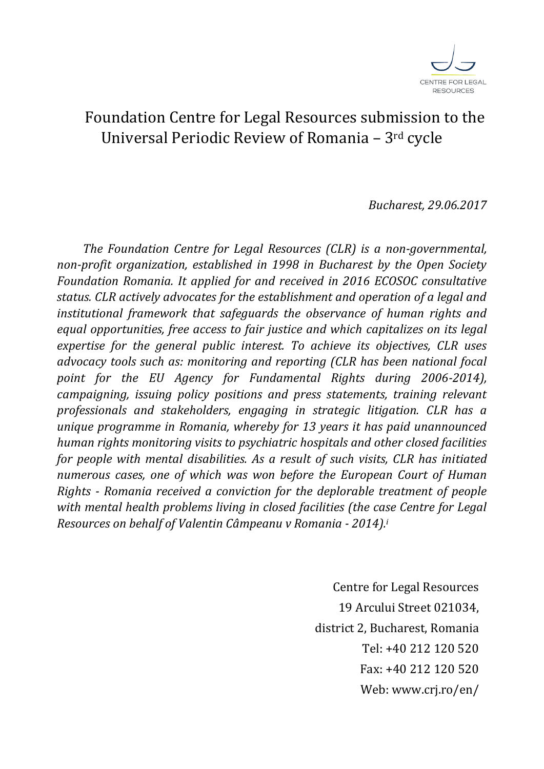

# Foundation Centre for Legal Resources submission to the Universal Periodic Review of Romania – 3rd cycle

*Bucharest, 29.06.2017*

*The Foundation Centre for Legal Resources (CLR) is a non-governmental, non-profit organization, established in 1998 in Bucharest by the Open Society Foundation Romania. It applied for and received in 2016 ECOSOC consultative status. CLR actively advocates for the establishment and operation of a legal and institutional framework that safeguards the observance of human rights and equal opportunities, free access to fair justice and which capitalizes on its legal expertise for the general public interest. To achieve its objectives, CLR uses advocacy tools such as: monitoring and reporting (CLR has been national focal point for the EU Agency for Fundamental Rights during 2006-2014), campaigning, issuing policy positions and press statements, training relevant professionals and stakeholders, engaging in strategic litigation. CLR has a unique programme in Romania, whereby for 13 years it has paid unannounced human rights monitoring visits to psychiatric hospitals and other closed facilities for people with mental disabilities. As a result of such visits, CLR has initiated numerous cases, one of which was won before the European Court of Human Rights - Romania received a conviction for the deplorable treatment of people*  with mental health problems living in closed facilities (the case Centre for Legal *Resources on behalf of Valentin Câmpeanu v Romania - 2014).<sup>i</sup>*

> Centre for Legal Resources 19 Arcului Street 021034, district 2, Bucharest, Romania Tel: +40 212 120 520 Fax: +40 212 120 520 Web: www.crj.ro/en/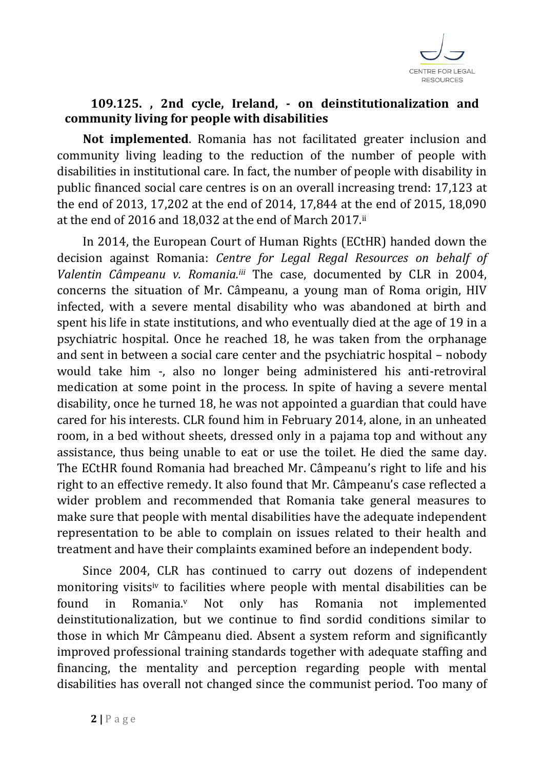

### **109.125. , 2nd cycle, Ireland, - on deinstitutionalization and community living for people with disabilities**

**Not implemented**. Romania has not facilitated greater inclusion and community living leading to the reduction of the number of people with disabilities in institutional care. In fact, the number of people with disability in public financed social care centres is on an overall increasing trend: 17,123 at the end of 2013, 17,202 at the end of 2014, 17,844 at the end of 2015, 18,090 at the end of 2016 and 18,032 at the end of March 2017.ii

In 2014, the European Court of Human Rights (ECtHR) handed down the decision against Romania: *Centre for Legal Regal Resources on behalf of Valentin Câmpeanu v. Romania.iii* The case, documented by CLR in 2004, concerns the situation of Mr. Câmpeanu, a young man of Roma origin, HIV infected, with a severe mental disability who was abandoned at birth and spent his life in state institutions, and who eventually died at the age of 19 in a psychiatric hospital. Once he reached 18, he was taken from the orphanage and sent in between a social care center and the psychiatric hospital – nobody would take him -, also no longer being administered his anti-retroviral medication at some point in the process. In spite of having a severe mental disability, once he turned 18, he was not appointed a guardian that could have cared for his interests. CLR found him in February 2014, alone, in an unheated room, in a bed without sheets, dressed only in a pajama top and without any assistance, thus being unable to eat or use the toilet. He died the same day. The ECtHR found Romania had breached Mr. Câmpeanu's right to life and his right to an effective remedy. It also found that Mr. Câmpeanu's case reflected a wider problem and recommended that Romania take general measures to make sure that people with mental disabilities have the adequate independent representation to be able to complain on issues related to their health and treatment and have their complaints examined before an independent body.

Since 2004, CLR has continued to carry out dozens of independent monitoring visitsiv to facilities where people with mental disabilities can be found in Romania.<sup>v</sup> Not only has Romania not implemented deinstitutionalization, but we continue to find sordid conditions similar to those in which Mr Câmpeanu died. Absent a system reform and significantly improved professional training standards together with adequate staffing and financing, the mentality and perception regarding people with mental disabilities has overall not changed since the communist period. Too many of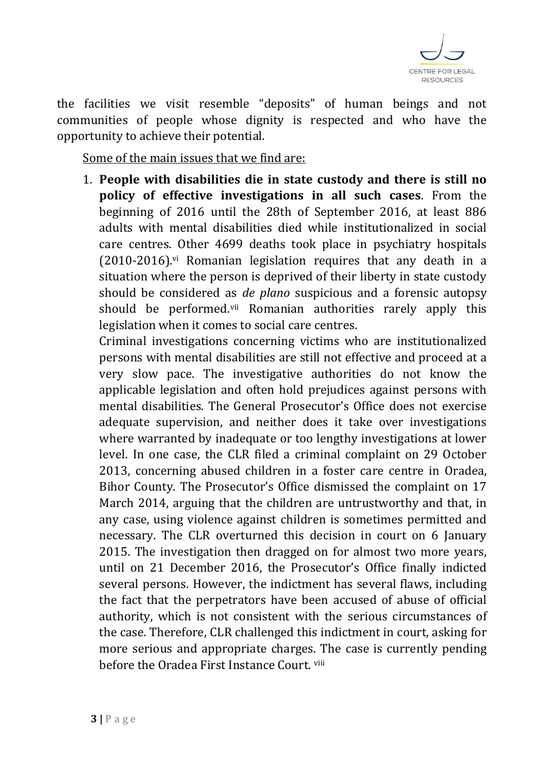

the facilities we visit resemble "deposits" of human beings and not communities of people whose dignity is respected and who have the opportunity to achieve their potential.

Some of the main issues that we find are:

1. **People with disabilities die in state custody and there is still no policy of effective investigations in all such cases**. From the beginning of 2016 until the 28th of September 2016, at least 886 adults with mental disabilities died while institutionalized in social care centres. Other 4699 deaths took place in psychiatry hospitals  $(2010-2016)$ .<sup>vi</sup> Romanian legislation requires that any death in a situation where the person is deprived of their liberty in state custody should be considered as *de plano* suspicious and a forensic autopsy should be performed.<sup>vii</sup> Romanian authorities rarely apply this legislation when it comes to social care centres.

Criminal investigations concerning victims who are institutionalized persons with mental disabilities are still not effective and proceed at a very slow pace. The investigative authorities do not know the applicable legislation and often hold prejudices against persons with mental disabilities. The General Prosecutor's Office does not exercise adequate supervision, and neither does it take over investigations where warranted by inadequate or too lengthy investigations at lower level. In one case, the CLR filed a criminal complaint on 29 October 2013, concerning abused children in a foster care centre in Oradea, Bihor County. The Prosecutor's Office dismissed the complaint on 17 March 2014, arguing that the children are untrustworthy and that, in any case, using violence against children is sometimes permitted and necessary. The CLR overturned this decision in court on 6 January 2015. The investigation then dragged on for almost two more years, until on 21 December 2016, the Prosecutor's Office finally indicted several persons. However, the indictment has several flaws, including the fact that the perpetrators have been accused of abuse of official authority, which is not consistent with the serious circumstances of the case. Therefore, CLR challenged this indictment in court, asking for more serious and appropriate charges. The case is currently pending before the Oradea First Instance Court. viii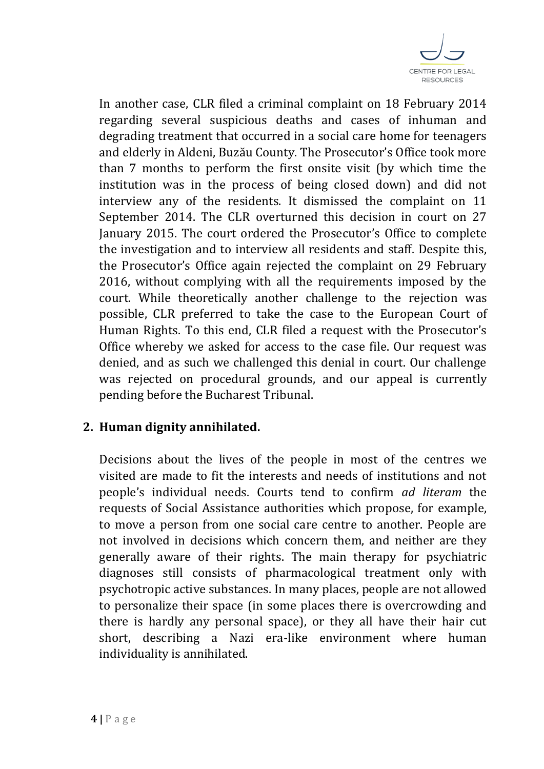

In another case, CLR filed a criminal complaint on 18 February 2014 regarding several suspicious deaths and cases of inhuman and degrading treatment that occurred in a social care home for teenagers and elderly in Aldeni, Buzău County. The Prosecutor's Office took more than 7 months to perform the first onsite visit (by which time the institution was in the process of being closed down) and did not interview any of the residents. It dismissed the complaint on 11 September 2014. The CLR overturned this decision in court on 27 January 2015. The court ordered the Prosecutor's Office to complete the investigation and to interview all residents and staff. Despite this, the Prosecutor's Office again rejected the complaint on 29 February 2016, without complying with all the requirements imposed by the court. While theoretically another challenge to the rejection was possible, CLR preferred to take the case to the European Court of Human Rights. To this end, CLR filed a request with the Prosecutor's Office whereby we asked for access to the case file. Our request was denied, and as such we challenged this denial in court. Our challenge was rejected on procedural grounds, and our appeal is currently pending before the Bucharest Tribunal.

## **2. Human dignity annihilated.**

Decisions about the lives of the people in most of the centres we visited are made to fit the interests and needs of institutions and not people's individual needs. Courts tend to confirm *ad literam* the requests of Social Assistance authorities which propose, for example, to move a person from one social care centre to another. People are not involved in decisions which concern them, and neither are they generally aware of their rights. The main therapy for psychiatric diagnoses still consists of pharmacological treatment only with psychotropic active substances. In many places, people are not allowed to personalize their space (in some places there is overcrowding and there is hardly any personal space), or they all have their hair cut short, describing a Nazi era-like environment where human individuality is annihilated.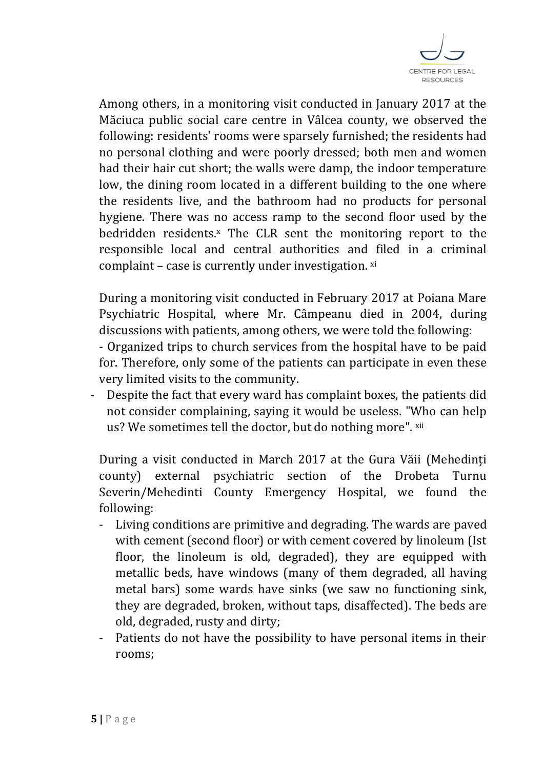

Among others, in a monitoring visit conducted in January 2017 at the Măciuca public social care centre in Vâlcea county, we observed the following: residents' rooms were sparsely furnished; the residents had no personal clothing and were poorly dressed; both men and women had their hair cut short; the walls were damp, the indoor temperature low, the dining room located in a different building to the one where the residents live, and the bathroom had no products for personal hygiene. There was no access ramp to the second floor used by the bedridden residents.<sup>x</sup> The CLR sent the monitoring report to the responsible local and central authorities and filed in a criminal complaint - case is currently under investigation. xi

During a monitoring visit conducted in February 2017 at Poiana Mare Psychiatric Hospital, where Mr. Câmpeanu died in 2004, during discussions with patients, among others, we were told the following:

- Organized trips to church services from the hospital have to be paid for. Therefore, only some of the patients can participate in even these very limited visits to the community.

- Despite the fact that every ward has complaint boxes, the patients did not consider complaining, saying it would be useless. "Who can help us? We sometimes tell the doctor, but do nothing more". xii

During a visit conducted in March 2017 at the Gura Văii (Mehedinți county) external psychiatric section of the Drobeta Turnu Severin/Mehedinti County Emergency Hospital, we found the following:

- Living conditions are primitive and degrading. The wards are paved with cement (second floor) or with cement covered by linoleum (Ist floor, the linoleum is old, degraded), they are equipped with metallic beds, have windows (many of them degraded, all having metal bars) some wards have sinks (we saw no functioning sink, they are degraded, broken, without taps, disaffected). The beds are old, degraded, rusty and dirty;
- Patients do not have the possibility to have personal items in their rooms;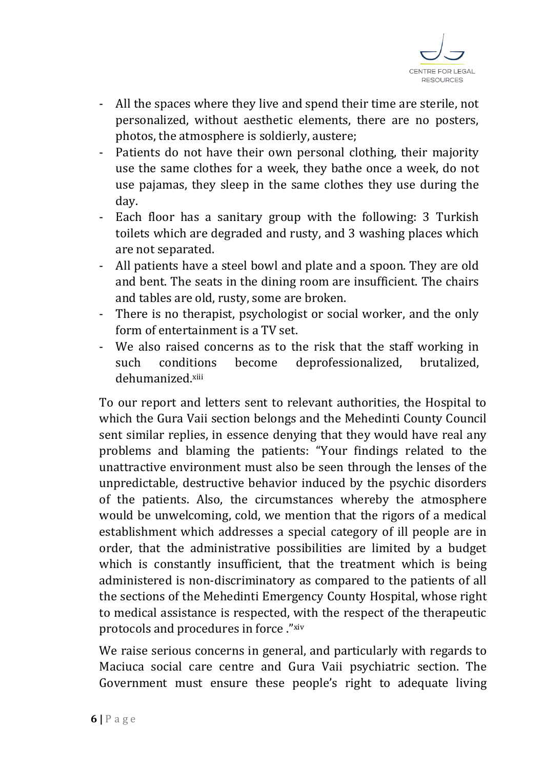

- All the spaces where they live and spend their time are sterile, not personalized, without aesthetic elements, there are no posters, photos, the atmosphere is soldierly, austere;
- Patients do not have their own personal clothing, their majority use the same clothes for a week, they bathe once a week, do not use pajamas, they sleep in the same clothes they use during the day.
- Each floor has a sanitary group with the following: 3 Turkish toilets which are degraded and rusty, and 3 washing places which are not separated.
- All patients have a steel bowl and plate and a spoon. They are old and bent. The seats in the dining room are insufficient. The chairs and tables are old, rusty, some are broken.
- There is no therapist, psychologist or social worker, and the only form of entertainment is a TV set.
- We also raised concerns as to the risk that the staff working in such conditions become deprofessionalized, brutalized, dehumanized.xiii

To our report and letters sent to relevant authorities, the Hospital to which the Gura Vaii section belongs and the Mehedinti County Council sent similar replies, in essence denying that they would have real any problems and blaming the patients: "Your findings related to the unattractive environment must also be seen through the lenses of the unpredictable, destructive behavior induced by the psychic disorders of the patients. Also, the circumstances whereby the atmosphere would be unwelcoming, cold, we mention that the rigors of a medical establishment which addresses a special category of ill people are in order, that the administrative possibilities are limited by a budget which is constantly insufficient, that the treatment which is being administered is non-discriminatory as compared to the patients of all the sections of the Mehedinti Emergency County Hospital, whose right to medical assistance is respected, with the respect of the therapeutic protocols and procedures in force ." xiv

We raise serious concerns in general, and particularly with regards to Maciuca social care centre and Gura Vaii psychiatric section. The Government must ensure these people's right to adequate living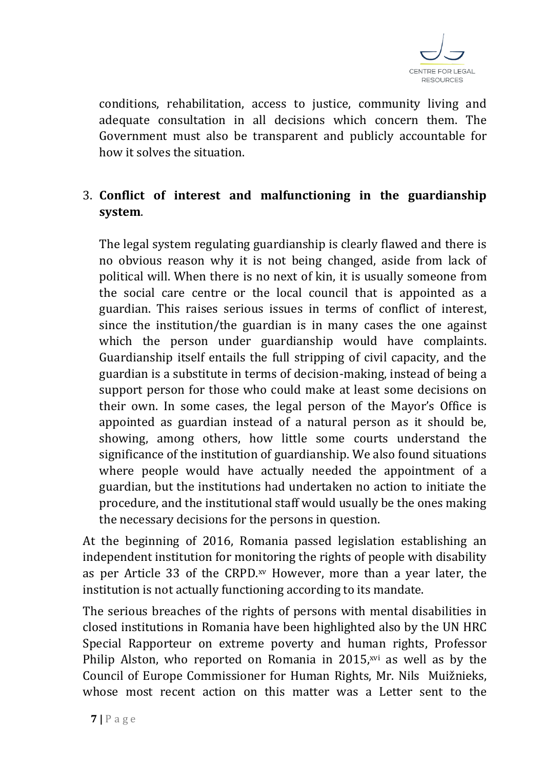

conditions, rehabilitation, access to justice, community living and adequate consultation in all decisions which concern them. The Government must also be transparent and publicly accountable for how it solves the situation.

## 3. **Conflict of interest and malfunctioning in the guardianship system**.

The legal system regulating guardianship is clearly flawed and there is no obvious reason why it is not being changed, aside from lack of political will. When there is no next of kin, it is usually someone from the social care centre or the local council that is appointed as a guardian. This raises serious issues in terms of conflict of interest, since the institution/the guardian is in many cases the one against which the person under guardianship would have complaints. Guardianship itself entails the full stripping of civil capacity, and the guardian is a substitute in terms of decision-making, instead of being a support person for those who could make at least some decisions on their own. In some cases, the legal person of the Mayor's Office is appointed as guardian instead of a natural person as it should be, showing, among others, how little some courts understand the significance of the institution of guardianship. We also found situations where people would have actually needed the appointment of a guardian, but the institutions had undertaken no action to initiate the procedure, and the institutional staff would usually be the ones making the necessary decisions for the persons in question.

At the beginning of 2016, Romania passed legislation establishing an independent institution for monitoring the rights of people with disability as per Article 33 of the CRPD.xv However, more than a year later, the institution is not actually functioning according to its mandate.

The serious breaches of the rights of persons with mental disabilities in closed institutions in Romania have been highlighted also by the UN HRC Special Rapporteur on extreme poverty and human rights, Professor Philip Alston, who reported on Romania in 2015,<sup>xvi</sup> as well as by the Council of Europe Commissioner for Human Rights, Mr. Nils Muižnieks, whose most recent action on this matter was a Letter sent to the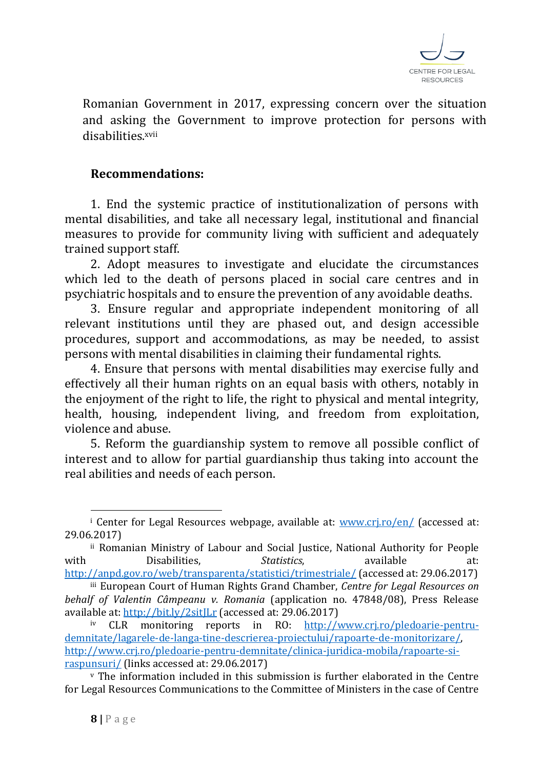

Romanian Government in 2017, expressing concern over the situation and asking the Government to improve protection for persons with disabilities xvii

#### **Recommendations:**

1. End the systemic practice of institutionalization of persons with mental disabilities, and take all necessary legal, institutional and financial measures to provide for community living with sufficient and adequately trained support staff.

2. Adopt measures to investigate and elucidate the circumstances which led to the death of persons placed in social care centres and in psychiatric hospitals and to ensure the prevention of any avoidable deaths.

3. Ensure regular and appropriate independent monitoring of all relevant institutions until they are phased out, and design accessible procedures, support and accommodations, as may be needed, to assist persons with mental disabilities in claiming their fundamental rights.

4. Ensure that persons with mental disabilities may exercise fully and effectively all their human rights on an equal basis with others, notably in the enjoyment of the right to life, the right to physical and mental integrity, health, housing, independent living, and freedom from exploitation, violence and abuse.

5. Reform the guardianship system to remove all possible conflict of interest and to allow for partial guardianship thus taking into account the real abilities and needs of each person.

 $\overline{a}$ 

<sup>&</sup>lt;sup>i</sup> Center for Legal Resources webpage, available at:  $www.cri.ro/en/$  (accessed at: 29.06.2017)

ii Romanian Ministry of Labour and Social Justice, National Authority for People with Disabilities, Statistics, available at: <http://anpd.gov.ro/web/transparenta/statistici/trimestriale/> (accessed at: 29.06.2017)

iii European Court of Human Rights Grand Chamber, *Centre for Legal Resources on behalf of Valentin Câmpeanu v. Romania* (application no. 47848/08), Press Release available at:<http://bit.ly/2sitJLr> (accessed at: 29.06.2017)

iv CLR monitoring reports in RO: [http://www.crj.ro/pledoarie-pentru](http://www.crj.ro/pledoarie-pentru-demnitate/lagarele-de-langa-tine-descrierea-proiectului/rapoarte-de-monitorizare/)[demnitate/lagarele-de-langa-tine-descrierea-proiectului/rapoarte-de-monitorizare/,](http://www.crj.ro/pledoarie-pentru-demnitate/lagarele-de-langa-tine-descrierea-proiectului/rapoarte-de-monitorizare/) [http://www.crj.ro/pledoarie-pentru-demnitate/clinica-juridica-mobila/rapoarte-si](http://www.crj.ro/pledoarie-pentru-demnitate/clinica-juridica-mobila/rapoarte-si-raspunsuri/)[raspunsuri/](http://www.crj.ro/pledoarie-pentru-demnitate/clinica-juridica-mobila/rapoarte-si-raspunsuri/) (links accessed at: 29.06.2017)

 $\mathbf v$  The information included in this submission is further elaborated in the Centre for Legal Resources Communications to the Committee of Ministers in the case of Centre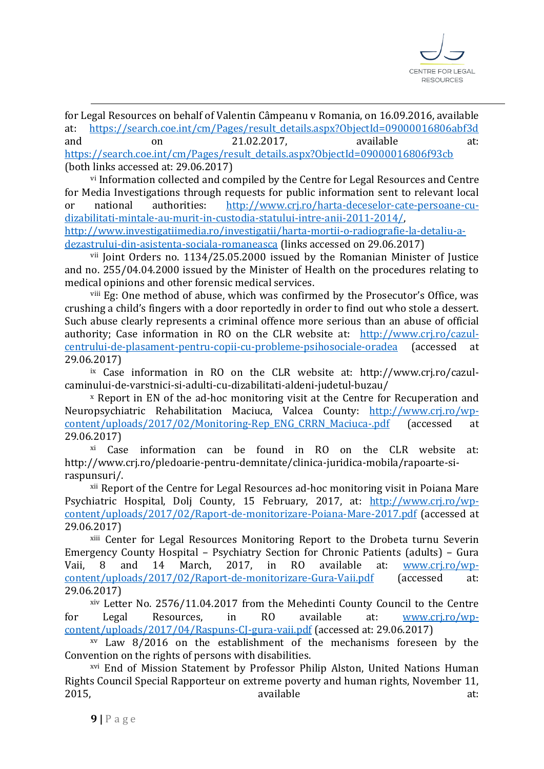

for Legal Resources on behalf of Valentin Câmpeanu v Romania, on 16.09.2016, available at: [https://search.coe.int/cm/Pages/result\\_details.aspx?ObjectId=09000016806abf3d](https://search.coe.int/cm/Pages/result_details.aspx?ObjectId=09000016806abf3d) and on 21.02.2017, available at: [https://search.coe.int/cm/Pages/result\\_details.aspx?ObjectId=09000016806f93cb](https://search.coe.int/cm/Pages/result_details.aspx?ObjectId=09000016806f93cb) (both links accessed at: 29.06.2017)

vi Information collected and compiled by the Centre for Legal Resources and Centre for Media Investigations through requests for public information sent to relevant local or national authorities: [http://www.crj.ro/harta-deceselor-cate-persoane-cu](http://www.crj.ro/harta-deceselor-cate-persoane-cu-dizabilitati-mintale-au-murit-in-custodia-statului-intre-anii-2011-2014/)[dizabilitati-mintale-au-murit-in-custodia-statului-intre-anii-2011-2014/,](http://www.crj.ro/harta-deceselor-cate-persoane-cu-dizabilitati-mintale-au-murit-in-custodia-statului-intre-anii-2011-2014/) [http://www.investigatiimedia.ro/investigatii/harta-mortii-o-radiografie-la-detaliu-a-](http://www.investigatiimedia.ro/investigatii/harta-mortii-o-radiografie-la-detaliu-a-dezastrului-din-asistenta-sociala-romaneasca)

[dezastrului-din-asistenta-sociala-romaneasca](http://www.investigatiimedia.ro/investigatii/harta-mortii-o-radiografie-la-detaliu-a-dezastrului-din-asistenta-sociala-romaneasca) (links accessed on 29.06.2017)

vii Joint Orders no. 1134/25.05.2000 issued by the Romanian Minister of Justice and no. 255/04.04.2000 issued by the Minister of Health on the procedures relating to medical opinions and other forensic medical services.

viii Eg: One method of abuse, which was confirmed by the Prosecutor's Office, was crushing a child's fingers with a door reportedly in order to find out who stole a dessert. Such abuse clearly represents a criminal offence more serious than an abuse of official authority; Case information in RO on the CLR website at: [http://www.crj.ro/cazul](http://www.crj.ro/cazul-centrului-de-plasament-pentru-copii-cu-probleme-psihosociale-oradea)[centrului-de-plasament-pentru-copii-cu-probleme-psihosociale-oradea](http://www.crj.ro/cazul-centrului-de-plasament-pentru-copii-cu-probleme-psihosociale-oradea) (accessed at 29.06.2017)

ix Case information in RO on the CLR website at: http://www.crj.ro/cazulcaminului-de-varstnici-si-adulti-cu-dizabilitati-aldeni-judetul-buzau/

<sup>x</sup> Report in EN of the ad-hoc monitoring visit at the Centre for Recuperation and Neuropsychiatric Rehabilitation Maciuca, Valcea County: [http://www.crj.ro/wp](http://www.crj.ro/wp-content/uploads/2017/02/Monitoring-Rep_ENG_CRRN_Maciuca-.pdf)[content/uploads/2017/02/Monitoring-Rep\\_ENG\\_CRRN\\_Maciuca-.pdf](http://www.crj.ro/wp-content/uploads/2017/02/Monitoring-Rep_ENG_CRRN_Maciuca-.pdf) (accessed at 29.06.2017)

xi Case information can be found in RO on the CLR website at: http://www.crj.ro/pledoarie-pentru-demnitate/clinica-juridica-mobila/rapoarte-siraspunsuri/.

xii Report of the Centre for Legal Resources ad-hoc monitoring visit in Poiana Mare Psychiatric Hospital, Dolj County, 15 February, 2017, at: [http://www.crj.ro/wp](http://www.crj.ro/wp-content/uploads/2017/02/Raport-de-monitorizare-Poiana-Mare-2017.pdf)[content/uploads/2017/02/Raport-de-monitorizare-Poiana-Mare-2017.pdf](http://www.crj.ro/wp-content/uploads/2017/02/Raport-de-monitorizare-Poiana-Mare-2017.pdf) (accessed at 29.06.2017)

xiii Center for Legal Resources Monitoring Report to the Drobeta turnu Severin Emergency County Hospital – Psychiatry Section for Chronic Patients (adults) – Gura Vaii, 8 and 14 March, 2017, in RO available at: [www.crj.ro/wp](http://www.crj.ro/wp-content/uploads/2017/02/Raport-de-monitorizare-Gura-Vaii.pdf)[content/uploads/2017/02/Raport-de-monitorizare-Gura-Vaii.pdf](http://www.crj.ro/wp-content/uploads/2017/02/Raport-de-monitorizare-Gura-Vaii.pdf) (accessed at: 29.06.2017)

xiv Letter No. 2576/11.04.2017 from the Mehedinti County Council to the Centre for Legal Resources, in RO available at: [www.crj.ro/wp](http://www.crj.ro/wp-content/uploads/2017/04/Raspuns-CJ-gura-vaii.pdf)[content/uploads/2017/04/Raspuns-CJ-gura-vaii.pdf](http://www.crj.ro/wp-content/uploads/2017/04/Raspuns-CJ-gura-vaii.pdf) (accessed at: 29.06.2017)

 $xv$  Law 8/2016 on the establishment of the mechanisms foreseen by the Convention on the rights of persons with disabilities.

xvi End of Mission Statement by Professor Philip Alston, United Nations Human Rights Council Special Rapporteur on extreme poverty and human rights, November 11, 2015, available available at:

<u>.</u>